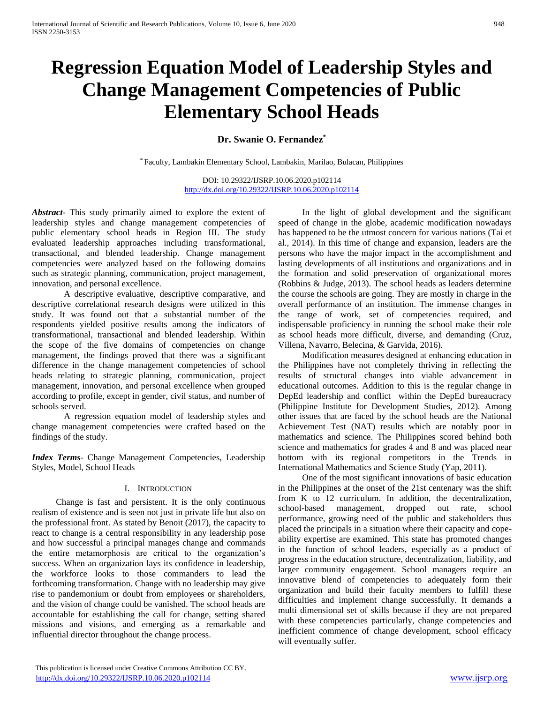# **Regression Equation Model of Leadership Styles and Change Management Competencies of Public Elementary School Heads**

## **Dr. Swanie O. Fernandez\***

\* Faculty, Lambakin Elementary School, Lambakin, Marilao, Bulacan, Philippines

DOI: 10.29322/IJSRP.10.06.2020.p102114 <http://dx.doi.org/10.29322/IJSRP.10.06.2020.p102114>

*Abstract***-** This study primarily aimed to explore the extent of leadership styles and change management competencies of public elementary school heads in Region III. The study evaluated leadership approaches including transformational, transactional, and blended leadership. Change management competencies were analyzed based on the following domains such as strategic planning, communication, project management, innovation, and personal excellence.

A descriptive evaluative, descriptive comparative, and descriptive correlational research designs were utilized in this study. It was found out that a substantial number of the respondents yielded positive results among the indicators of transformational, transactional and blended leadership. Within the scope of the five domains of competencies on change management, the findings proved that there was a significant difference in the change management competencies of school heads relating to strategic planning, communication, project management, innovation, and personal excellence when grouped according to profile, except in gender, civil status, and number of schools served.

A regression equation model of leadership styles and change management competencies were crafted based on the findings of the study.

*Index Terms*- Change Management Competencies, Leadership Styles, Model, School Heads

#### I. INTRODUCTION

Change is fast and persistent. It is the only continuous realism of existence and is seen not just in private life but also on the professional front. As stated by Benoit (2017), the capacity to react to change is a central responsibility in any leadership pose and how successful a principal manages change and commands the entire metamorphosis are critical to the organization's success. When an organization lays its confidence in leadership, the workforce looks to those commanders to lead the forthcoming transformation. Change with no leadership may give rise to pandemonium or doubt from employees or shareholders, and the vision of change could be vanished. The school heads are accountable for establishing the call for change, setting shared missions and visions, and emerging as a remarkable and influential director throughout the change process.

In the light of global development and the significant speed of change in the globe, academic modification nowadays has happened to be the utmost concern for various nations (Tai et al., 2014). In this time of change and expansion, leaders are the persons who have the major impact in the accomplishment and lasting developments of all institutions and organizations and in the formation and solid preservation of organizational mores (Robbins & Judge, 2013). The school heads as leaders determine the course the schools are going. They are mostly in charge in the overall performance of an institution. The immense changes in the range of work, set of competencies required, and indispensable proficiency in running the school make their role as school heads more difficult, diverse, and demanding (Cruz, Villena, Navarro, Belecina, & Garvida, 2016).

Modification measures designed at enhancing education in the Philippines have not completely thriving in reflecting the results of structural changes into viable advancement in educational outcomes. Addition to this is the regular change in DepEd leadership and conflict within the DepEd bureaucracy (Philippine Institute for Development Studies, 2012). Among other issues that are faced by the school heads are the National Achievement Test (NAT) results which are notably poor in mathematics and science. The Philippines scored behind both science and mathematics for grades 4 and 8 and was placed near bottom with its regional competitors in the Trends in International Mathematics and Science Study (Yap, 2011).

One of the most significant innovations of basic education in the Philippines at the onset of the 21st centenary was the shift from K to 12 curriculum. In addition, the decentralization, school-based management, dropped out rate, school performance, growing need of the public and stakeholders thus placed the principals in a situation where their capacity and copeability expertise are examined. This state has promoted changes in the function of school leaders, especially as a product of progress in the education structure, decentralization, liability, and larger community engagement. School managers require an innovative blend of competencies to adequately form their organization and build their faculty members to fulfill these difficulties and implement change successfully. It demands a multi dimensional set of skills because if they are not prepared with these competencies particularly, change competencies and inefficient commence of change development, school efficacy will eventually suffer.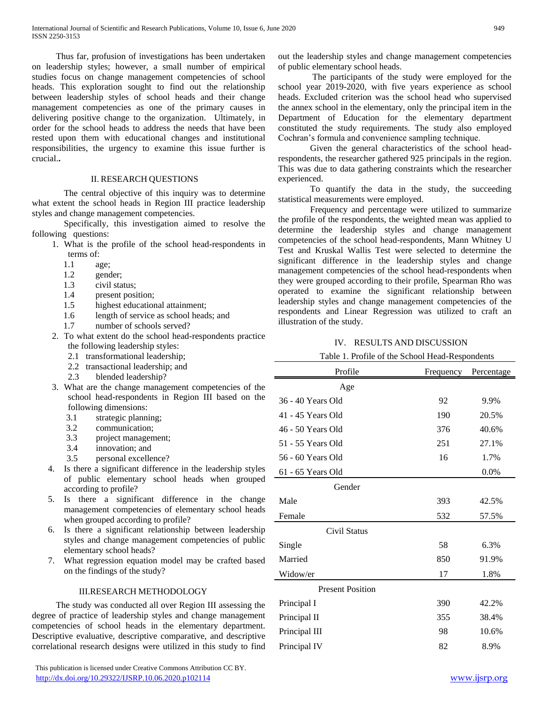Thus far, profusion of investigations has been undertaken on leadership styles; however, a small number of empirical studies focus on change management competencies of school heads. This exploration sought to find out the relationship between leadership styles of school heads and their change management competencies as one of the primary causes in delivering positive change to the organization. Ultimately, in order for the school heads to address the needs that have been rested upon them with educational changes and institutional responsibilities, the urgency to examine this issue further is crucial.**.** 

#### II. RESEARCH QUESTIONS

The central objective of this inquiry was to determine what extent the school heads in Region III practice leadership styles and change management competencies.

Specifically, this investigation aimed to resolve the following questions:

- 1. What is the profile of the school head-respondents in terms of:
	- 1.1 age;
	- 1.2 gender;
	- 1.3 civil status;
	- 1.4 present position;
	- 1.5 highest educational attainment;
	- 1.6 length of service as school heads; and
	- 1.7 number of schools served?
- 2. To what extent do the school head-respondents practice the following leadership styles:
	- 2.1 transformational leadership;
	- 2.2 transactional leadership; and
	- 2.3 blended leadership?
- 3. What are the change management competencies of the school head-respondents in Region III based on the following dimensions:
	- 3.1 strategic planning;
	- 3.2 communication;
	- 3.3 project management;
	- 3.4 innovation; and
	- 3.5 personal excellence?
- 4. Is there a significant difference in the leadership styles of public elementary school heads when grouped according to profile?
- 5. Is there a significant difference in the change management competencies of elementary school heads when grouped according to profile?
- 6. Is there a significant relationship between leadership styles and change management competencies of public elementary school heads?
- 7. What regression equation model may be crafted based on the findings of the study?

#### III.RESEARCH METHODOLOGY

The study was conducted all over Region III assessing the degree of practice of leadership styles and change management competencies of school heads in the elementary department. Descriptive evaluative, descriptive comparative, and descriptive correlational research designs were utilized in this study to find

 This publication is licensed under Creative Commons Attribution CC BY. <http://dx.doi.org/10.29322/IJSRP.10.06.2020.p102114> [www.ijsrp.org](http://ijsrp.org/)

out the leadership styles and change management competencies of public elementary school heads.

The participants of the study were employed for the school year 2019-2020, with five years experience as school heads. Excluded criterion was the school head who supervised the annex school in the elementary, only the principal item in the Department of Education for the elementary department constituted the study requirements. The study also employed Cochran's formula and convenience sampling technique.

Given the general characteristics of the school headrespondents, the researcher gathered 925 principals in the region. This was due to data gathering constraints which the researcher experienced.

To quantify the data in the study, the succeeding statistical measurements were employed.

Frequency and percentage were utilized to summarize the profile of the respondents, the weighted mean was applied to determine the leadership styles and change management competencies of the school head-respondents, Mann Whitney U Test and Kruskal Wallis Test were selected to determine the significant difference in the leadership styles and change management competencies of the school head-respondents when they were grouped according to their profile, Spearman Rho was operated to examine the significant relationship between leadership styles and change management competencies of the respondents and Linear Regression was utilized to craft an illustration of the study.

#### IV. RESULTS AND DISCUSSION

| Table 1. Profile of the School Head-Respondents |  |
|-------------------------------------------------|--|
|                                                 |  |

| Profile                 | Frequency | Percentage |
|-------------------------|-----------|------------|
| Age                     |           |            |
| 36 - 40 Years Old       | 92        | 9.9%       |
| 41 - 45 Years Old       | 190       | 20.5%      |
| 46 - 50 Years Old       | 376       | 40.6%      |
| 51 - 55 Years Old       | 251       | 27.1%      |
| 56 - 60 Years Old       | 16        | 1.7%       |
| 61 - 65 Years Old       |           | 0.0%       |
| Gender                  |           |            |
| Male                    | 393       | 42.5%      |
| Female                  | 532       | 57.5%      |
| Civil Status            |           |            |
| Single                  | 58        | 6.3%       |
| Married                 | 850       | 91.9%      |
| Widow/er                | 17        | 1.8%       |
| <b>Present Position</b> |           |            |
| Principal I             | 390       | 42.2%      |
| Principal II            | 355       | 38.4%      |
| Principal III           | 98        | 10.6%      |
| Principal IV            | 82        | 8.9%       |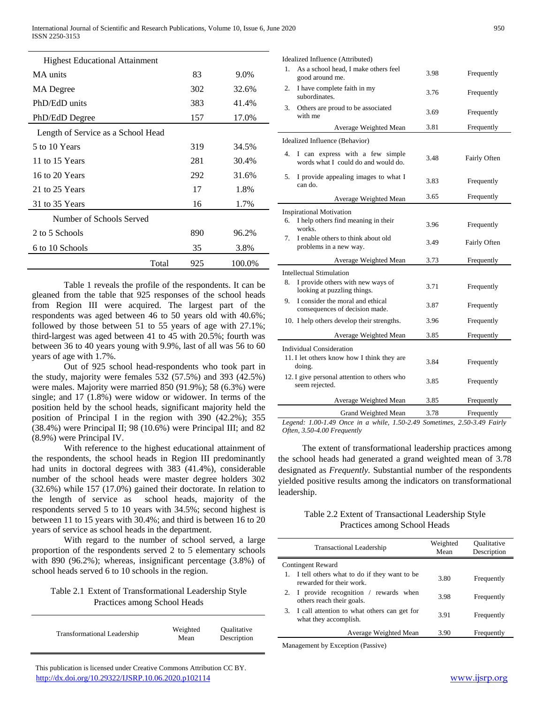| <b>Highest Educational Attainment</b> |     |        |
|---------------------------------------|-----|--------|
| MA units                              | 83  | 9.0%   |
| MA Degree                             | 302 | 32.6%  |
| PhD/EdD units                         | 383 | 41.4%  |
| PhD/EdD Degree                        | 157 | 17.0%  |
| Length of Service as a School Head    |     |        |
| 5 to 10 Years                         | 319 | 34.5%  |
| 11 to 15 Years                        | 281 | 30.4%  |
| 16 to 20 Years                        | 292 | 31.6%  |
| 21 to 25 Years                        | 17  | 1.8%   |
| 31 to 35 Years                        | 16  | 1.7%   |
| Number of Schools Served              |     |        |
| 2 to 5 Schools                        | 890 | 96.2%  |
| 6 to 10 Schools                       | 35  | 3.8%   |
| Total                                 | 925 | 100.0% |

Table 1 reveals the profile of the respondents. It can be gleaned from the table that 925 responses of the school heads from Region III were acquired. The largest part of the respondents was aged between 46 to 50 years old with 40.6%; followed by those between 51 to 55 years of age with 27.1%; third-largest was aged between 41 to 45 with 20.5%; fourth was between 36 to 40 years young with 9.9%, last of all was 56 to 60 years of age with 1.7%.

Out of 925 school head-respondents who took part in the study, majority were females 532 (57.5%) and 393 (42.5%) were males. Majority were married 850 (91.9%); 58 (6.3%) were single; and 17 (1.8%) were widow or widower. In terms of the position held by the school heads, significant majority held the position of Principal I in the region with 390 (42.2%); 355 (38.4%) were Principal II; 98 (10.6%) were Principal III; and 82 (8.9%) were Principal IV.

With reference to the highest educational attainment of the respondents, the school heads in Region III predominantly had units in doctoral degrees with 383 (41.4%), considerable number of the school heads were master degree holders 302 (32.6%) while 157 (17.0%) gained their doctorate. In relation to the length of service as school heads, majority of the respondents served 5 to 10 years with 34.5%; second highest is between 11 to 15 years with 30.4%; and third is between 16 to 20 years of service as school heads in the department.

With regard to the number of school served, a large proportion of the respondents served 2 to 5 elementary schools with 890 (96.2%); whereas, insignificant percentage (3.8%) of school heads served 6 to 10 schools in the region.

Table 2.1 Extent of Transformational Leadership Style Practices among School Heads

| <b>Transformational Leadership</b> | Weighted<br>Mean | <i><b>Oualitative</b></i><br>Description |
|------------------------------------|------------------|------------------------------------------|
|------------------------------------|------------------|------------------------------------------|

 This publication is licensed under Creative Commons Attribution CC BY. <http://dx.doi.org/10.29322/IJSRP.10.06.2020.p102114> [www.ijsrp.org](http://ijsrp.org/)

|    | Idealized Influence (Attributed)                                       |      |              |
|----|------------------------------------------------------------------------|------|--------------|
| 1. | As a school head, I make others feel<br>good around me.                | 3.98 | Frequently   |
| 2. | I have complete faith in my<br>subordinates.                           | 3.76 | Frequently   |
| 3. | Others are proud to be associated<br>with me                           | 3.69 | Frequently   |
|    | Average Weighted Mean                                                  | 3.81 | Frequently   |
|    | Idealized Influence (Behavior)                                         |      |              |
| 4. | I can express with a few simple<br>words what I could do and would do. | 3.48 | Fairly Often |
| 5. | I provide appealing images to what I<br>can do.                        | 3.83 | Frequently   |
|    | Average Weighted Mean                                                  | 3.65 | Frequently   |
|    | <b>Inspirational Motivation</b>                                        |      |              |
| 6. | I help others find meaning in their<br>works.                          | 3.96 | Frequently   |
| 7. | I enable others to think about old<br>problems in a new way.           | 3.49 | Fairly Often |
|    | Average Weighted Mean                                                  | 3.73 | Frequently   |
|    | <b>Intellectual Stimulation</b>                                        |      |              |
| 8. | I provide others with new ways of<br>looking at puzzling things.       | 3.71 | Frequently   |
| 9. | I consider the moral and ethical<br>consequences of decision made.     | 3.87 | Frequently   |
|    | 10. I help others develop their strengths.                             | 3.96 | Frequently   |
|    | Average Weighted Mean                                                  | 3.85 | Frequently   |
|    | <b>Individual Consideration</b>                                        |      |              |
|    | 11. I let others know how I think they are<br>doing.                   | 3.84 | Frequently   |
|    | 12. I give personal attention to others who<br>seem rejected.          | 3.85 | Frequently   |
|    | Average Weighted Mean                                                  | 3.85 | Frequently   |
|    | Grand Weighted Mean                                                    | 3.78 | Frequently   |

*Legend: 1.00-1.49 Once in a while, 1.50-2.49 Sometimes, 2.50-3.49 Fairly Often, 3.50-4.00 Frequently*

The extent of transformational leadership practices among the school heads had generated a grand weighted mean of 3.78 designated as *Frequently.* Substantial number of the respondents yielded positive results among the indicators on transformational leadership.

## Table 2.2 Extent of Transactional Leadership Style Practices among School Heads

| <b>Transactional Leadership</b>                                         | Weighted<br>Mean | <b>Qualitative</b><br>Description |
|-------------------------------------------------------------------------|------------------|-----------------------------------|
| <b>Contingent Reward</b>                                                |                  |                                   |
| I tell others what to do if they want to be<br>rewarded for their work. | 3.80             | Frequently                        |
| 2. I provide recognition / rewards when<br>others reach their goals.    | 3.98             | Frequently                        |
| 3. I call attention to what others can get for<br>what they accomplish. | 3.91             | Frequently                        |
| Average Weighted Mean                                                   | 3.90             | Frequently                        |
|                                                                         |                  |                                   |

Management by Exception (Passive)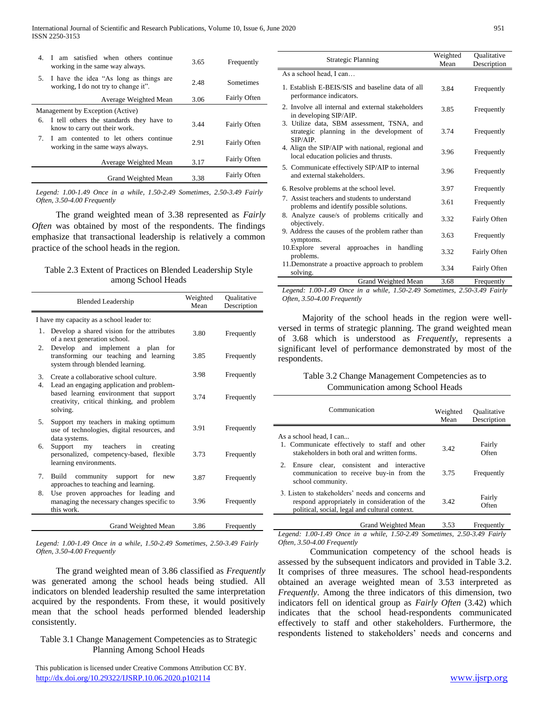| 4. | I am satisfied when others continue<br>working in the same way always.            | 3.65 | Frequently          |
|----|-----------------------------------------------------------------------------------|------|---------------------|
|    | 5. I have the idea "As long as things are<br>working. I do not try to change it". | 2.48 | Sometimes           |
|    | Average Weighted Mean                                                             | 3.06 | <b>Fairly Often</b> |
|    | Management by Exception (Active)                                                  |      |                     |
| 6. | I tell others the standards they have to<br>know to carry out their work.         | 3.44 | <b>Fairly Often</b> |
| 7. | I am contented to let others continue<br>working in the same ways always.         | 2.91 | <b>Fairly Often</b> |
|    | Average Weighted Mean                                                             | 3.17 | <b>Fairly Often</b> |
|    | Grand Weighted Mean                                                               | 3.38 | <b>Fairly Often</b> |

*Legend: 1.00-1.49 Once in a while, 1.50-2.49 Sometimes, 2.50-3.49 Fairly Often, 3.50-4.00 Frequently*

The grand weighted mean of 3.38 represented as *Fairly Often* was obtained by most of the respondents. The findings emphasize that transactional leadership is relatively a common practice of the school heads in the region.

#### Table 2.3 Extent of Practices on Blended Leadership Style among School Heads

| <b>Blended Leadership</b>                                                                                                                            | Weighted<br>Mean | Qualitative<br>Description |
|------------------------------------------------------------------------------------------------------------------------------------------------------|------------------|----------------------------|
| I have my capacity as a school leader to:                                                                                                            |                  |                            |
| 1. Develop a shared vision for the attributes<br>of a next generation school.                                                                        | 3.80             | Frequently                 |
| Develop and implement<br>2.<br>a plan<br>for<br>transforming our teaching and learning<br>system through blended learning.                           | 3.85             | Frequently                 |
| 3.<br>Create a collaborative school culture.                                                                                                         | 3.98             | Frequently                 |
| 4.<br>Lead an engaging application and problem-<br>based learning environment that support<br>creativity, critical thinking, and problem<br>solving. | 3.74             | Frequently                 |
| Support my teachers in making optimum<br>5.<br>use of technologies, digital resources, and<br>data systems.                                          | 3.91             | Frequently                 |
| teachers<br>6.<br>Support<br>in<br>creating<br>my<br>personalized, competency-based, flexible<br>learning environments.                              | 3.73             | Frequently                 |
| 7.<br>community<br>support<br>Build<br>for<br>new<br>approaches to teaching and learning.                                                            | 3.87             | Frequently                 |
| Use proven approaches for leading and<br>8.<br>managing the necessary changes specific to<br>this work.                                              | 3.96             | Frequently                 |
| Grand Weighted Mean                                                                                                                                  | 3.86             | Frequently                 |

*Legend: 1.00-1.49 Once in a while, 1.50-2.49 Sometimes, 2.50-3.49 Fairly Often, 3.50-4.00 Frequently*

The grand weighted mean of 3.86 classified as *Frequently* was generated among the school heads being studied. All indicators on blended leadership resulted the same interpretation acquired by the respondents. From these, it would positively mean that the school heads performed blended leadership consistently.

#### Table 3.1 Change Management Competencies as to Strategic Planning Among School Heads

 This publication is licensed under Creative Commons Attribution CC BY. <http://dx.doi.org/10.29322/IJSRP.10.06.2020.p102114> [www.ijsrp.org](http://ijsrp.org/)

| <b>Strategic Planning</b>                                                                          | Weighted<br>Mean | Qualitative<br>Description |
|----------------------------------------------------------------------------------------------------|------------------|----------------------------|
| As a school head, I can                                                                            |                  |                            |
| 1. Establish E-BEIS/SIS and baseline data of all<br>performance indicators.                        | 3.84             | Frequently                 |
| 2. Involve all internal and external stakeholders<br>in developing SIP/AIP.                        | 3.85             | Frequently                 |
| 3. Utilize data, SBM assessment, TSNA, and<br>strategic planning in the development of<br>SIP/AIP. | 3.74             | Frequently                 |
| 4. Align the SIP/AIP with national, regional and<br>local education policies and thrusts.          | 3.96             | Frequently                 |
| 5. Communicate effectively SIP/AIP to internal<br>and external stakeholders.                       | 3.96             | Frequently                 |
| 6. Resolve problems at the school level.                                                           | 3.97             | Frequently                 |
| 7. Assist teachers and students to understand<br>problems and identify possible solutions.         | 3.61             | Frequently                 |
| 8. Analyze cause/s of problems critically and<br>objectively.                                      | 3.32             | Fairly Often               |
| 9. Address the causes of the problem rather than<br>symptoms.                                      | 3.63             | Frequently                 |
| 10. Explore several approaches in handling<br>problems.                                            | 3.32             | Fairly Often               |
| 11. Demonstrate a proactive approach to problem<br>solving.                                        | 3.34             | Fairly Often               |
| Grand Weighted Mean                                                                                | 3.68             | Frequently                 |
| Legend: 1.00-1.49 Once in a while $1.50-2.49$ Sometimes $2.50-3.49$ Fairly                         |                  |                            |

*Legend: 1.00-1.49 Once in a while, 1.50-2.49 Sometimes, 2.50-3.49 Fairly Often, 3.50-4.00 Frequently*

Majority of the school heads in the region were wellversed in terms of strategic planning. The grand weighted mean of 3.68 which is understood as *Frequently*, represents a significant level of performance demonstrated by most of the respondents.

#### Table 3.2 Change Management Competencies as to Communication among School Heads

| Communication                                                                                                                                        | Weighted<br>Mean | <b>Qualitative</b><br>Description |
|------------------------------------------------------------------------------------------------------------------------------------------------------|------------------|-----------------------------------|
| As a school head, I can<br>1. Communicate effectively to staff and other<br>stakeholders in both oral and written forms.                             | 3.42             | Fairly<br>Often                   |
| 2. Ensure clear, consistent and interactive<br>communication to receive buy-in from the<br>school community.                                         | 3.75             | Frequently                        |
| 3. Listen to stakeholders' needs and concerns and<br>respond appropriately in consideration of the<br>political, social, legal and cultural context. | 3.42             | Fairly<br>Often                   |
| Grand Weighted Mean                                                                                                                                  | 3.53             | Frequently                        |

*Legend: 1.00-1.49 Once in a while, 1.50-2.49 Sometimes, 2.50-3.49 Fairly Often, 3.50-4.00 Frequently*

Communication competency of the school heads is assessed by the subsequent indicators and provided in Table 3.2. It comprises of three measures. The school head-respondents obtained an average weighted mean of 3.53 interpreted as *Frequently*. Among the three indicators of this dimension, two indicators fell on identical group as *Fairly Often* (3.42) which indicates that the school head-respondents communicated effectively to staff and other stakeholders. Furthermore, the respondents listened to stakeholders' needs and concerns and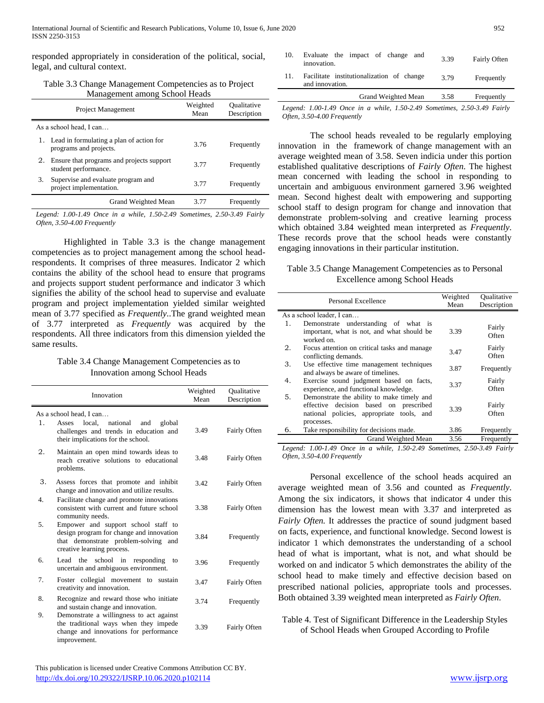responded appropriately in consideration of the political, social, legal, and cultural context.

Table 3.3 Change Management Competencies as to Project Management among School Heads

|    | Project Management                                                    | Weighted<br>Mean | Oualitative<br>Description |
|----|-----------------------------------------------------------------------|------------------|----------------------------|
|    | As a school head, I can                                               |                  |                            |
|    | 1. Lead in formulating a plan of action for<br>programs and projects. | 3.76             | Frequently                 |
| 2. | Ensure that programs and projects support<br>student performance.     | 3.77             | Frequently                 |
| 3. | Supervise and evaluate program and<br>project implementation.         | 3.77             | Frequently                 |
|    | Grand Weighted Mean                                                   | 3.77             | Frequently                 |

*Legend: 1.00-1.49 Once in a while, 1.50-2.49 Sometimes, 2.50-3.49 Fairly Often, 3.50-4.00 Frequently*

Highlighted in Table 3.3 is the change management competencies as to project management among the school headrespondents. It comprises of three measures. Indicator 2 which contains the ability of the school head to ensure that programs and projects support student performance and indicator 3 which signifies the ability of the school head to supervise and evaluate program and project implementation yielded similar weighted mean of 3.77 specified as *Frequently*..The grand weighted mean of 3.77 interpreted as *Frequently* was acquired by the respondents. All three indicators from this dimension yielded the same results.

## Table 3.4 Change Management Competencies as to Innovation among School Heads

|    | Innovation                                                                                                                                            | Weighted<br>Mean | Oualitative<br>Description |
|----|-------------------------------------------------------------------------------------------------------------------------------------------------------|------------------|----------------------------|
|    | As a school head, I can                                                                                                                               |                  |                            |
| 1. | local.<br>national<br>global<br>Asses<br>and<br>challenges and trends in education and<br>their implications for the school.                          | 3.49             | Fairly Often               |
| 2. | Maintain an open mind towards ideas to<br>reach creative solutions to educational<br>problems.                                                        | 3.48             | Fairly Often               |
| 3. | Assess forces that promote and inhibit<br>change and innovation and utilize results.                                                                  | 3.42             | Fairly Often               |
| 4. | Facilitate change and promote innovations<br>consistent with current and future school<br>community needs.                                            | 3.38             | Fairly Often               |
| 5. | Empower and support school staff to<br>design program for change and innovation<br>that demonstrate problem-solving and<br>creative learning process. | 3.84             | Frequently                 |
| б. | Lead the school in responding<br>to<br>uncertain and ambiguous environment.                                                                           | 3.96             | Frequently                 |
| 7. | Foster collegial movement to sustain<br>creativity and innovation.                                                                                    | 3.47             | Fairly Often               |
| 8. | Recognize and reward those who initiate<br>and sustain change and innovation.                                                                         | 3.74             | Frequently                 |
| 9. | Demonstrate a willingness to act against<br>the traditional ways when they impede<br>change and innovations for performance<br>improvement.           | 3.39             | Fairly Often               |

| 10. | Evaluate the impact of change and<br>innovation.             | 3.39 | Fairly Often |
|-----|--------------------------------------------------------------|------|--------------|
|     | Facilitate institutionalization of change<br>and innovation. | 3.79 | Frequently   |

Grand Weighted Mean 3.58 Frequently *Legend: 1.00-1.49 Once in a while, 1.50-2.49 Sometimes, 2.50-3.49 Fairly Often, 3.50-4.00 Frequently*

The school heads revealed to be regularly employing innovation in the framework of change management with an average weighted mean of 3.58. Seven indicia under this portion established qualitative descriptions of *Fairly Often*. The highest mean concerned with leading the school in responding to uncertain and ambiguous environment garnered 3.96 weighted mean. Second highest dealt with empowering and supporting school staff to design program for change and innovation that demonstrate problem-solving and creative learning process which obtained 3.84 weighted mean interpreted as *Frequently*. These records prove that the school heads were constantly engaging innovations in their particular institution.

Table 3.5 Change Management Competencies as to Personal Excellence among School Heads

|    | Personal Excellence                                                                                                                             | Weighted<br>Mean | Oualitative<br>Description |
|----|-------------------------------------------------------------------------------------------------------------------------------------------------|------------------|----------------------------|
|    | As a school leader, I can                                                                                                                       |                  |                            |
| 1. | Demonstrate understanding of what is<br>important, what is not, and what should be<br>worked on.                                                | 3.39             | Fairly<br>Often            |
| 2. | Focus attention on critical tasks and manage<br>conflicting demands.                                                                            | 3.47             | Fairly<br>Often            |
| 3. | Use effective time management techniques<br>and always be aware of timelines.                                                                   | 3.87             | Frequently                 |
| 4. | Exercise sound judgment based on facts,<br>experience, and functional knowledge.                                                                | 3.37             | Fairly<br>Often            |
| 5. | Demonstrate the ability to make timely and<br>effective decision based on prescribed<br>national policies, appropriate tools, and<br>processes. | 3.39             | Fairly<br>Often            |
| 6. | Take responsibility for decisions made.                                                                                                         | 3.86             | Frequently                 |
|    | Grand Weighted Mean                                                                                                                             | 3.56             | Frequently                 |

*Legend: 1.00-1.49 Once in a while, 1.50-2.49 Sometimes, 2.50-3.49 Fairly Often, 3.50-4.00 Frequently*

Personal excellence of the school heads acquired an average weighted mean of 3.56 and counted as *Frequently*. Among the six indicators, it shows that indicator 4 under this dimension has the lowest mean with 3.37 and interpreted as *Fairly Often.* It addresses the practice of sound judgment based on facts, experience, and functional knowledge. Second lowest is indicator 1 which demonstrates the understanding of a school head of what is important, what is not, and what should be worked on and indicator 5 which demonstrates the ability of the school head to make timely and effective decision based on prescribed national policies, appropriate tools and processes. Both obtained 3.39 weighted mean interpreted as *Fairly Often*.

Table 4. Test of Significant Difference in the Leadership Styles of School Heads when Grouped According to Profile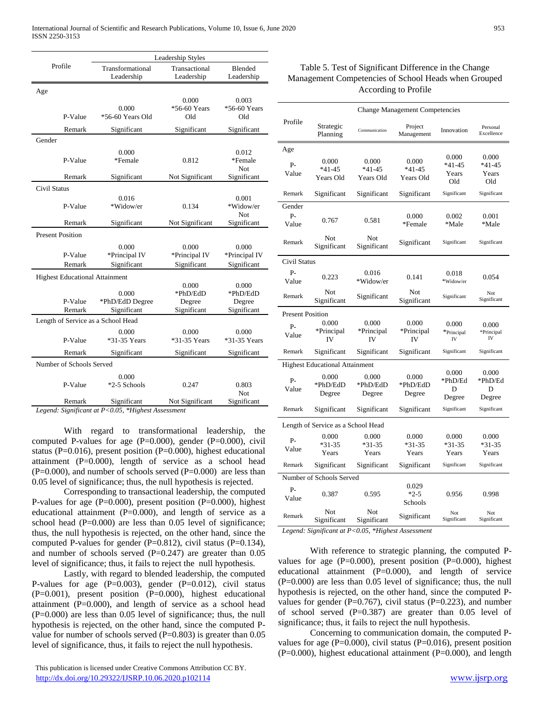|                                       | Leadership Styles                       |                                            |                                            |  |
|---------------------------------------|-----------------------------------------|--------------------------------------------|--------------------------------------------|--|
| Profile                               | Transformational<br>Leadership          | Transactional<br>Leadership                | Blended<br>Leadership                      |  |
| Age                                   |                                         |                                            |                                            |  |
| P-Value                               | 0.000<br>*56-60 Years Old               | 0.000<br>*56-60 Years<br>Old               | 0.003<br>*56-60 Years<br>Old               |  |
| Remark                                | Significant                             | Significant                                | Significant                                |  |
| Gender                                |                                         |                                            |                                            |  |
| P-Value                               | 0.000<br>*Female                        | 0.812                                      | 0.012<br>*Female<br><b>Not</b>             |  |
| Remark                                | Significant                             | Not Significant                            | Significant                                |  |
| <b>Civil Status</b><br>P-Value        | 0.016<br>*Widow/er                      | 0.134                                      | 0.001<br>*Widow/er<br>Not                  |  |
| Remark                                | Significant                             | Not Significant                            | Significant                                |  |
| <b>Present Position</b>               |                                         |                                            |                                            |  |
| P-Value<br>Remark                     | 0.000<br>*Principal IV<br>Significant   | 0.000<br>*Principal IV<br>Significant      | 0.000<br>*Principal IV<br>Significant      |  |
| <b>Highest Educational Attainment</b> |                                         |                                            |                                            |  |
| P-Value<br>Remark                     | 0.000<br>*PhD/EdD Degree<br>Significant | 0.000<br>*PhD/EdD<br>Degree<br>Significant | 0.000<br>*PhD/EdD<br>Degree<br>Significant |  |
| Length of Service as a School Head    |                                         |                                            |                                            |  |
| P-Value                               | 0.000<br>*31-35 Years                   | 0.000<br>*31-35 Years                      | 0.000<br>*31-35 Years                      |  |
| Remark                                | Significant                             | Significant                                | Significant                                |  |
| Number of Schools Served              |                                         |                                            |                                            |  |
| P-Value                               | 0.000<br>*2-5 Schools                   | 0.247                                      | 0.803<br><b>Not</b>                        |  |
| Remark                                | Significant                             | Not Significant                            | Significant                                |  |

*Legend: Significant at P<0.05, \*Highest Assessment*

With regard to transformational leadership, the computed P-values for age  $(P=0.000)$ , gender  $(P=0.000)$ , civil status (P=0.016), present position (P=0.000), highest educational attainment  $(P=0.000)$ , length of service as a school head  $(P=0.000)$ , and number of schools served  $(P=0.000)$  are less than 0.05 level of significance; thus, the null hypothesis is rejected.

Corresponding to transactional leadership, the computed P-values for age (P=0.000), present position (P=0.000), highest educational attainment (P=0.000), and length of service as a school head (P=0.000) are less than 0.05 level of significance; thus, the null hypothesis is rejected, on the other hand, since the computed P-values for gender (P=0.812), civil status (P=0.134), and number of schools served  $(P=0.247)$  are greater than 0.05 level of significance; thus, it fails to reject the null hypothesis.

Lastly, with regard to blended leadership, the computed P-values for age  $(P=0.003)$ , gender  $(P=0.012)$ , civil status (P=0.001), present position (P=0.000), highest educational attainment  $(P=0.000)$ , and length of service as a school head (P=0.000) are less than 0.05 level of significance; thus, the null hypothesis is rejected, on the other hand, since the computed Pvalue for number of schools served  $(P=0.803)$  is greater than 0.05 level of significance, thus, it fails to reject the null hypothesis.

|                                    | <b>Change Management Competencies</b> |                                |                                |                                   |                                     |
|------------------------------------|---------------------------------------|--------------------------------|--------------------------------|-----------------------------------|-------------------------------------|
| Profile                            | Strategic<br>Planning                 | Communication                  | Project<br>Management          | Innovation                        | Personal<br>Excellence              |
| Age                                |                                       |                                |                                |                                   |                                     |
| $P -$<br>Value                     | 0.000<br>$*41 - 45$<br>Years Old      | 0.000<br>$*41-45$<br>Years Old | 0.000<br>$*41-45$<br>Years Old | 0.000<br>$*41-45$<br>Years<br>Old | 0.000<br>$*41 - 45$<br>Years<br>Old |
| Remark                             | Significant                           | Significant                    | Significant                    | Significant                       | Significant                         |
| Gender<br>P-<br>Value              | 0.767                                 | 0.581                          | 0.000<br>*Female               | 0.002<br>*Male                    | 0.001<br>*Male                      |
| Remark                             | Not<br>Significant                    | Not<br>Significant             | Significant                    | Significant                       | Significant                         |
| Civil Status                       |                                       |                                |                                |                                   |                                     |
| $P -$<br>Value                     | 0.223                                 | 0.016<br>*Widow/er             | 0.141                          | 0.018<br>*Widow/er                | 0.054                               |
| Remark                             | Not<br>Significant                    | Significant                    | Not<br>Significant             | Significant                       | Not<br>Significant                  |
| <b>Present Position</b>            |                                       |                                |                                |                                   |                                     |
| P-<br>Value                        | 0.000<br>*Principal<br>IV             | 0.000<br>*Principal<br>IV      | 0.000<br>*Principal<br>IV      | 0.000<br>*Principal<br>IV         | 0.000<br>*Principal<br>IV           |
| Remark                             | Significant                           | Significant                    | Significant                    | Significant                       | Significant                         |
|                                    | <b>Highest Educational Attainment</b> |                                |                                |                                   |                                     |
| $P -$<br>Value                     | 0.000<br>*PhD/EdD<br>Degree           | 0.000<br>*PhD/EdD<br>Degree    | 0.000<br>*PhD/EdD<br>Degree    | 0.000<br>*PhD/Ed<br>D<br>Degree   | 0.000<br>*PhD/Ed<br>D<br>Degree     |
| Remark                             | Significant                           | Significant                    | Significant                    | Significant                       | Significant                         |
| Length of Service as a School Head |                                       |                                |                                |                                   |                                     |
| $P-$<br>Value                      | 0.000<br>$*31 - 35$<br>Years          | 0.000<br>$*31-35$<br>Years     | 0.000<br>$*31-35$<br>Years     | 0.000<br>$*31-35$<br>Years        | 0.000<br>$*31-35$<br>Years          |
| Remark                             | Significant                           | Significant                    | Significant                    | Significant                       | Significant                         |
| Number of Schools Served           |                                       |                                |                                |                                   |                                     |
| Р-<br>Value                        | 0.387                                 | 0.595                          | 0.029<br>$*2-5$<br>Schools     | 0.956                             | 0.998                               |
| Remark                             | Not<br>Significant                    | Not<br>Significant             | Significant                    | Not<br>Significant                | Not<br>Significant                  |

*Legend: Significant at P<0.05, \*Highest Assessment*

With reference to strategic planning, the computed Pvalues for age  $(P=0.000)$ , present position  $(P=0.000)$ , highest educational attainment (P=0.000), and length of service (P=0.000) are less than 0.05 level of significance; thus, the null hypothesis is rejected, on the other hand, since the computed Pvalues for gender ( $P=0.767$ ), civil status ( $P=0.223$ ), and number of school served  $(P=0.387)$  are greater than 0.05 level of significance; thus, it fails to reject the null hypothesis.

Concerning to communication domain, the computed Pvalues for age  $(P=0.000)$ , civil status  $(P=0.016)$ , present position (P=0.000), highest educational attainment (P=0.000), and length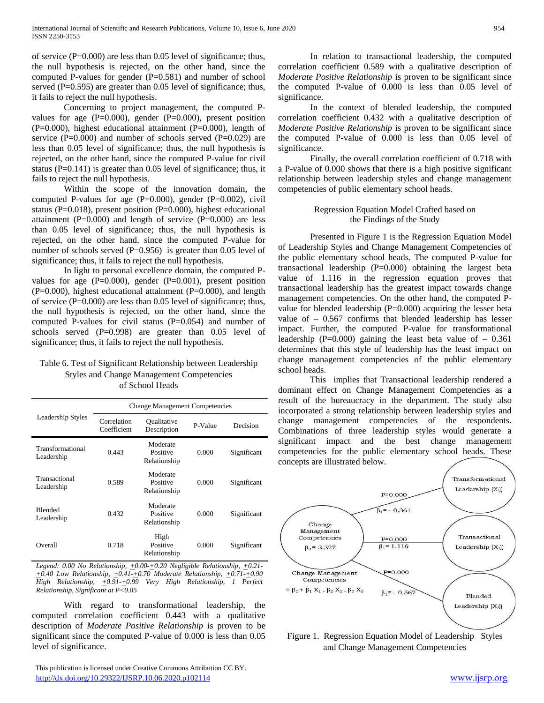of service  $(P=0.000)$  are less than 0.05 level of significance; thus, the null hypothesis is rejected, on the other hand, since the computed P-values for gender (P=0.581) and number of school served  $(P=0.595)$  are greater than 0.05 level of significance; thus, it fails to reject the null hypothesis.

Concerning to project management, the computed Pvalues for age  $(P=0.000)$ , gender  $(P=0.000)$ , present position  $(P=0.000)$ , highest educational attainment  $(P=0.000)$ , length of service  $(P=0.000)$  and number of schools served  $(P=0.029)$  are less than 0.05 level of significance; thus, the null hypothesis is rejected, on the other hand, since the computed P-value for civil status ( $P=0.141$ ) is greater than 0.05 level of significance; thus, it fails to reject the null hypothesis.

Within the scope of the innovation domain, the computed P-values for age (P=0.000), gender (P=0.002), civil status (P=0.018), present position (P=0.000), highest educational attainment ( $P=0.000$ ) and length of service ( $P=0.000$ ) are less than 0.05 level of significance; thus, the null hypothesis is rejected, on the other hand, since the computed P-value for number of schools served  $(P=0.956)$  is greater than 0.05 level of significance; thus, it fails to reject the null hypothesis.

In light to personal excellence domain, the computed Pvalues for age  $(P=0.000)$ , gender  $(P=0.001)$ , present position  $(P=0.000)$ , highest educational attainment  $(P=0.000)$ , and length of service (P=0.000) are less than 0.05 level of significance; thus, the null hypothesis is rejected, on the other hand, since the computed P-values for civil status (P=0.054) and number of schools served (P=0.998) are greater than 0.05 level of significance; thus, it fails to reject the null hypothesis.

## Table 6. Test of Significant Relationship between Leadership Styles and Change Management Competencies of School Heads

|                                | <b>Change Management Competencies</b> |                                              |       |             |  |
|--------------------------------|---------------------------------------|----------------------------------------------|-------|-------------|--|
| Leadership Styles              | Correlation<br>Coefficient            | <b>Oualitative</b><br>P-Value<br>Description |       | Decision    |  |
| Transformational<br>Leadership | 0.443                                 | Moderate<br>Positive<br>Relationship         | 0.000 | Significant |  |
| Transactional<br>Leadership    | 0.589                                 | Moderate<br>Positive<br>Relationship         | 0.000 | Significant |  |
| <b>Blended</b><br>Leadership   | 0.432                                 | Moderate<br>Positive<br>Relationship         | 0.000 | Significant |  |
| Overall                        | 0.718                                 | High<br>Positive<br>Relationship             | 0.000 | Significant |  |

*Legend: 0.00 No Relationship, +0.00-+0.20 Negligible Relationship, +0.21- +0.40 Low Relationship, +0.41-+0.70 Moderate Relationship, +0.71-+0.90 High Relationship, +0.91-+0.99 Very High Relationship, 1 Perfect Relationship, Significant at P<0.05*

With regard to transformational leadership, the computed correlation coefficient 0.443 with a qualitative description of *Moderate Positive Relationship* is proven to be significant since the computed P-value of 0.000 is less than 0.05 level of significance.

 This publication is licensed under Creative Commons Attribution CC BY. <http://dx.doi.org/10.29322/IJSRP.10.06.2020.p102114> [www.ijsrp.org](http://ijsrp.org/)

In relation to transactional leadership, the computed correlation coefficient 0.589 with a qualitative description of *Moderate Positive Relationship* is proven to be significant since the computed P-value of 0.000 is less than 0.05 level of significance.

In the context of blended leadership, the computed correlation coefficient 0.432 with a qualitative description of *Moderate Positive Relationship* is proven to be significant since the computed P-value of 0.000 is less than 0.05 level of significance.

Finally, the overall correlation coefficient of 0.718 with a P-value of 0.000 shows that there is a high positive significant relationship between leadership styles and change management competencies of public elementary school heads.

## Regression Equation Model Crafted based on the Findings of the Study

Presented in Figure 1 is the Regression Equation Model of Leadership Styles and Change Management Competencies of the public elementary school heads. The computed P-value for transactional leadership (P=0.000) obtaining the largest beta value of 1.116 in the regression equation proves that transactional leadership has the greatest impact towards change management competencies. On the other hand, the computed Pvalue for blended leadership  $(P=0.000)$  acquiring the lesser beta value of – 0.567 confirms that blended leadership has lesser impact. Further, the computed P-value for transformational leadership (P=0.000) gaining the least beta value of  $-$  0.361 determines that this style of leadership has the least impact on change management competencies of the public elementary school heads.

This implies that Transactional leadership rendered a dominant effect on Change Management Competencies as a result of the bureaucracy in the department. The study also incorporated a strong relationship between leadership styles and change management competencies of the respondents. Combinations of three leadership styles would generate a significant impact and the best change management competencies for the public elementary school heads. These concepts are illustrated below.



Figure 1. Regression Equation Model of Leadership Styles and Change Management Competencies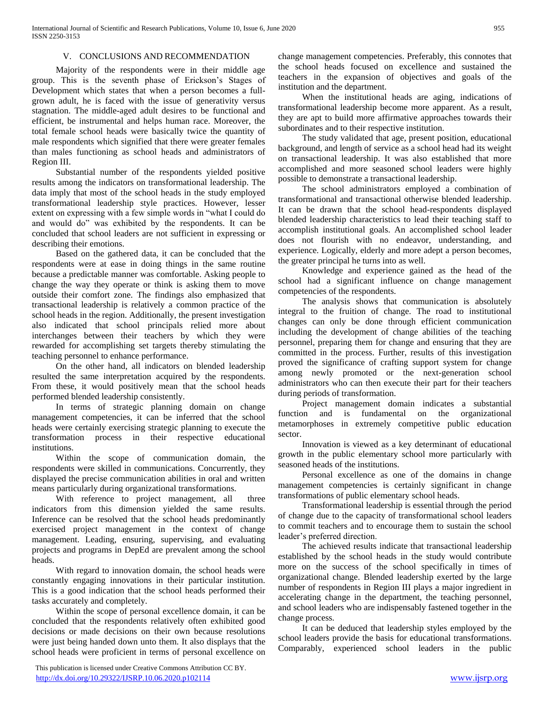## V. CONCLUSIONS AND RECOMMENDATION

Majority of the respondents were in their middle age group. This is the seventh phase of Erickson's Stages of Development which states that when a person becomes a fullgrown adult, he is faced with the issue of generativity versus stagnation. The middle-aged adult desires to be functional and efficient, be instrumental and helps human race. Moreover, the total female school heads were basically twice the quantity of male respondents which signified that there were greater females than males functioning as school heads and administrators of Region III.

Substantial number of the respondents yielded positive results among the indicators on transformational leadership. The data imply that most of the school heads in the study employed transformational leadership style practices. However, lesser extent on expressing with a few simple words in "what I could do and would do" was exhibited by the respondents. It can be concluded that school leaders are not sufficient in expressing or describing their emotions.

Based on the gathered data, it can be concluded that the respondents were at ease in doing things in the same routine because a predictable manner was comfortable. Asking people to change the way they operate or think is asking them to move outside their comfort zone. The findings also emphasized that transactional leadership is relatively a common practice of the school heads in the region. Additionally, the present investigation also indicated that school principals relied more about interchanges between their teachers by which they were rewarded for accomplishing set targets thereby stimulating the teaching personnel to enhance performance.

On the other hand, all indicators on blended leadership resulted the same interpretation acquired by the respondents. From these, it would positively mean that the school heads performed blended leadership consistently.

In terms of strategic planning domain on change management competencies, it can be inferred that the school heads were certainly exercising strategic planning to execute the transformation process in their respective educational institutions.

Within the scope of communication domain, the respondents were skilled in communications. Concurrently, they displayed the precise communication abilities in oral and written means particularly during organizational transformations.

With reference to project management, all three indicators from this dimension yielded the same results. Inference can be resolved that the school heads predominantly exercised project management in the context of change management. Leading, ensuring, supervising, and evaluating projects and programs in DepEd are prevalent among the school heads.

With regard to innovation domain, the school heads were constantly engaging innovations in their particular institution. This is a good indication that the school heads performed their tasks accurately and completely.

Within the scope of personal excellence domain, it can be concluded that the respondents relatively often exhibited good decisions or made decisions on their own because resolutions were just being handed down unto them. It also displays that the school heads were proficient in terms of personal excellence on

 This publication is licensed under Creative Commons Attribution CC BY. <http://dx.doi.org/10.29322/IJSRP.10.06.2020.p102114> [www.ijsrp.org](http://ijsrp.org/)

change management competencies. Preferably, this connotes that the school heads focused on excellence and sustained the teachers in the expansion of objectives and goals of the institution and the department.

When the institutional heads are aging, indications of transformational leadership become more apparent. As a result, they are apt to build more affirmative approaches towards their subordinates and to their respective institution.

The study validated that age, present position, educational background, and length of service as a school head had its weight on transactional leadership. It was also established that more accomplished and more seasoned school leaders were highly possible to demonstrate a transactional leadership.

The school administrators employed a combination of transformational and transactional otherwise blended leadership. It can be drawn that the school head-respondents displayed blended leadership characteristics to lead their teaching staff to accomplish institutional goals. An accomplished school leader does not flourish with no endeavor, understanding, and experience. Logically, elderly and more adept a person becomes, the greater principal he turns into as well.

Knowledge and experience gained as the head of the school had a significant influence on change management competencies of the respondents.

The analysis shows that communication is absolutely integral to the fruition of change. The road to institutional changes can only be done through efficient communication including the development of change abilities of the teaching personnel, preparing them for change and ensuring that they are committed in the process. Further, results of this investigation proved the significance of crafting support system for change among newly promoted or the next-generation school administrators who can then execute their part for their teachers during periods of transformation.

Project management domain indicates a substantial function and is fundamental on the organizational metamorphoses in extremely competitive public education sector.

Innovation is viewed as a key determinant of educational growth in the public elementary school more particularly with seasoned heads of the institutions.

Personal excellence as one of the domains in change management competencies is certainly significant in change transformations of public elementary school heads.

Transformational leadership is essential through the period of change due to the capacity of transformational school leaders to commit teachers and to encourage them to sustain the school leader's preferred direction.

The achieved results indicate that transactional leadership established by the school heads in the study would contribute more on the success of the school specifically in times of organizational change. Blended leadership exerted by the large number of respondents in Region III plays a major ingredient in accelerating change in the department, the teaching personnel, and school leaders who are indispensably fastened together in the change process.

It can be deduced that leadership styles employed by the school leaders provide the basis for educational transformations. Comparably, experienced school leaders in the public